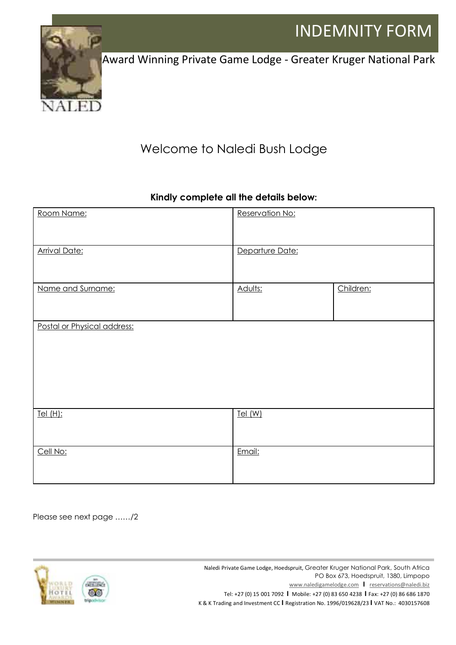

Award Winning Private Game Lodge - Greater Kruger National Park

## Welcome to Naledi Bush Lodge

## **Kindly complete all the details below:**

| Room Name:                  | Reservation No: |           |
|-----------------------------|-----------------|-----------|
| <b>Arrival Date:</b>        | Departure Date: |           |
| Name and Surname:           | Adults:         | Children: |
| Postal or Physical address: |                 |           |
| Tel (H):                    | Tel (W)         |           |
| Cell No:                    | Email:          |           |

Please see next page ……/2



Naledi Private Game Lodge, Hoedspruit, Greater Kruger National Park, South Africa PO Box 673, Hoedspruit, 1380, Limpopo www.naledigamelodge.com **I** reservations@naledi.biz Tel: +27 (0) 15 001 7092 **I** Mobile: +27 (0) 83 650 4238 **I** Fax: +27 (0) 86 686 1870 K & K Trading and Investment CC **I** Registration No. 1996/019628/23 **I** VAT No.: 4030157608